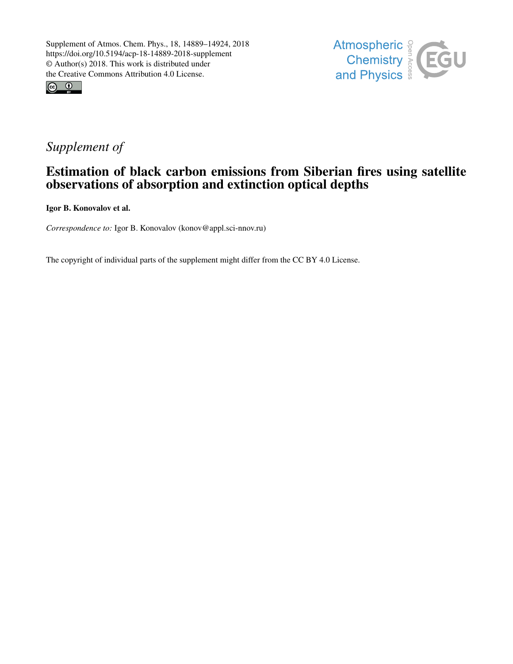



# *Supplement of*

# Estimation of black carbon emissions from Siberian fires using satellite observations of absorption and extinction optical depths

Igor B. Konovalov et al.

*Correspondence to:* Igor B. Konovalov (konov@appl.sci-nnov.ru)

The copyright of individual parts of the supplement might differ from the CC BY 4.0 License.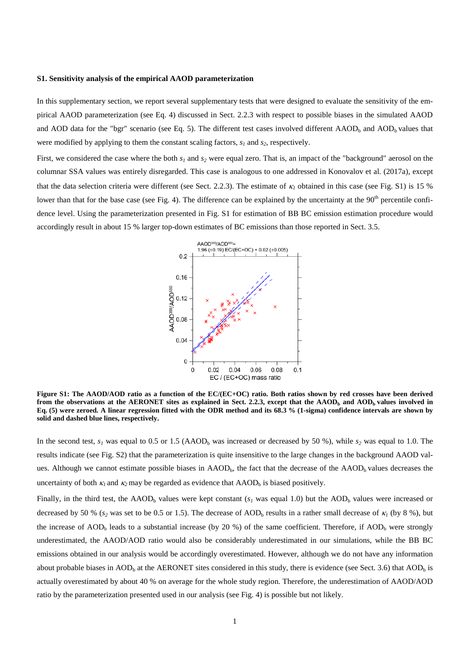#### **S1. Sensitivity analysis of the empirical AAOD parameterization**

In this supplementary section, we report several supplementary tests that were designed to evaluate the sensitivity of the empirical AAOD parameterization (see Eq. 4) discussed in Sect. 2.2.3 with respect to possible biases in the simulated AAOD and AOD data for the "bgr" scenario (see Eq. 5). The different test cases involved different AAOD<sub>b</sub> and AOD<sub>b</sub> values that were modified by applying to them the constant scaling factors,  $s_1$  and  $s_2$ , respectively.

First, we considered the case where the both  $s_1$  and  $s_2$  were equal zero. That is, an impact of the "background" aerosol on the columnar SSA values was entirely disregarded. This case is analogous to one addressed in Konovalov et al. (2017a), except that the data selection criteria were different (see Sect. 2.2.3). The estimate of <sup>κ</sup>*<sup>1</sup>* obtained in this case (see Fig. S1) is 15 % lower than that for the base case (see Fig. 4). The difference can be explained by the uncertainty at the 90<sup>th</sup> percentile confidence level. Using the parameterization presented in Fig. S1 for estimation of BB BC emission estimation procedure would accordingly result in about 15 % larger top-down estimates of BC emissions than those reported in Sect. 3.5.



**Figure S1: The AAOD/AOD ratio as a function of the EC/(EC+OC) ratio. Both ratios shown by red crosses have been derived from the observations at the AERONET sites as explained in Sect. 2.2.3, except that the**  $\text{AADD}_b$  **and**  $\text{AOD}_b$  **values involved in Eq. (5) were zeroed. A linear regression fitted with the ODR method and its 68.3 % (1-sigma) confidence intervals are shown by solid and dashed blue lines, respectively.** 

In the second test,  $s<sub>l</sub>$  was equal to 0.5 or 1.5 (AAOD<sub>b</sub> was increased or decreased by 50 %), while  $s<sub>2</sub>$  was equal to 1.0. The results indicate (see Fig. S2) that the parameterization is quite insensitive to the large changes in the background AAOD values. Although we cannot estimate possible biases in AAOD<sub>b</sub>, the fact that the decrease of the AAOD<sub>b</sub> values decreases the uncertainty of both  $\kappa_1$  and  $\kappa_2$  may be regarded as evidence that AAOD<sub>b</sub> is biased positively.

Finally, in the third test, the AAOD<sub>b</sub> values were kept constant  $(s<sub>l</sub>$  was equal 1.0) but the AOD<sub>b</sub> values were increased or decreased by 50 % ( $s_2$  was set to be 0.5 or 1.5). The decrease of AOD<sub>b</sub> results in a rather small decrease of  $\kappa_1$  (by 8 %), but the increase of  $AOD<sub>b</sub>$  leads to a substantial increase (by 20 %) of the same coefficient. Therefore, if  $AOD<sub>b</sub>$  were strongly underestimated, the AAOD/AOD ratio would also be considerably underestimated in our simulations, while the BB BC emissions obtained in our analysis would be accordingly overestimated. However, although we do not have any information about probable biases in  $AOD_b$  at the AERONET sites considered in this study, there is evidence (see Sect. 3.6) that  $AOD_b$  is actually overestimated by about 40 % on average for the whole study region. Therefore, the underestimation of AAOD/AOD ratio by the parameterization presented used in our analysis (see Fig. 4) is possible but not likely.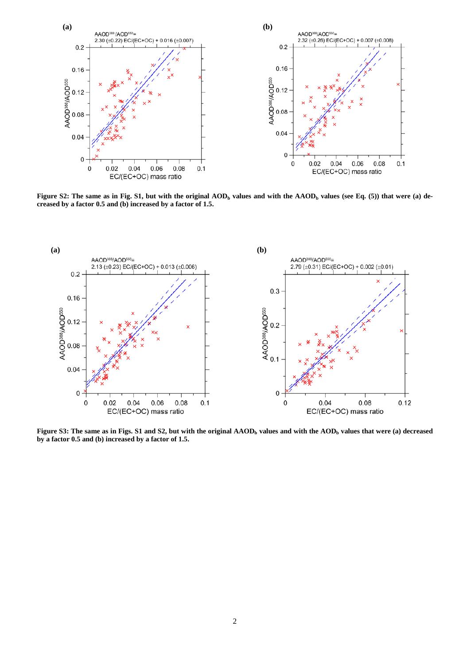

**Figure S2: The same as in Fig. S1, but with the original**  $\text{AOD}_b$  **values and with the**  $\text{AADD}_b$  **values (see Eq. (5)) that were (a) decreased by a factor 0.5 and (b) increased by a factor of 1.5.** 



**Figure S3: The same as in Figs. S1 and S2, but with the original AAOD<sub>b</sub> values and with the AOD<sub>b</sub> values that were (a) decreased by a factor 0.5 and (b) increased by a factor of 1.5.**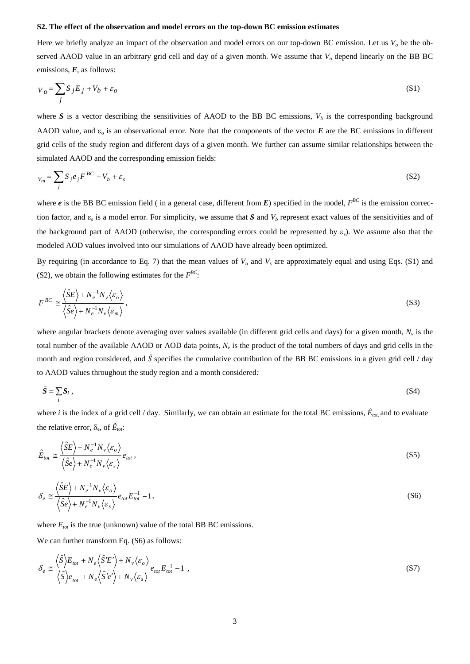#### **S2. The effect of the observation and model errors on the top-down BC emission estimates**

Here we briefly analyze an impact of the observation and model errors on our top-down BC emission. Let us  $V<sub>o</sub>$  be the observed AAOD value in an arbitrary grid cell and day of a given month. We assume that  $V<sub>o</sub>$  depend linearly on the BB BC emissions, *E*, as follows:

$$
V_o = \sum_{j} S_j E_j + V_b + \varepsilon_o \tag{S1}
$$

where *S* is a vector describing the sensitivities of AAOD to the BB BC emissions,  $V_b$  is the corresponding background AAOD value, and  $\varepsilon_0$  is an observational error. Note that the components of the vector  $E$  are the BC emissions in different grid cells of the study region and different days of a given month. We further can assume similar relationships between the simulated AAOD and the corresponding emission fields:

$$
V_m = \sum_j S_j e_j F^{BC} + V_b + \varepsilon_s \tag{S2}
$$

where  $e$  is the BB BC emission field (in a general case, different from  $E$ ) specified in the model,  $F^{BC}$  is the emission correction factor, and  $\varepsilon_s$  is a model error. For simplicity, we assume that *S* and  $V_b$  represent exact values of the sensitivities and of the background part of AAOD (otherwise, the corresponding errors could be represented by  $\varepsilon_s$ ). We assume also that the modeled AOD values involved into our simulations of AAOD have already been optimized.

By requiring (in accordance to Eq. 7) that the mean values of  $V<sub>o</sub>$  and  $V<sub>s</sub>$  are approximately equal and using Eqs. (S1) and (S2), we obtain the following estimates for the  $F^{BC}$ :

$$
F^{BC} \cong \frac{\langle \hat{S}E \rangle + N_e^{-1} N_v \langle \varepsilon_o \rangle}{\langle \hat{S}e \rangle + N_e^{-1} N_v \langle \varepsilon_m \rangle},
$$
\n(S3)

where angular brackets denote averaging over values available (in different grid cells and days) for a given month,  $N_{\nu}$  is the total number of the available AAOD or AOD data points, *Ne* is the product of the total numbers of days and grid cells in the month and region considered, and  $\hat{S}$  specifies the cumulative contribution of the BB BC emissions in a given grid cell / day to AAOD values throughout the study region and a month considered*:*

$$
\hat{S} = \sum_{i} S_i \,, \tag{S4}
$$

where *i* is the index of a grid cell / day. Similarly, we can obtain an estimate for the total BC emissions,  $\hat{E}_{tot}$  and to evaluate the relative error,  $\delta_e$ , of  $\hat{E}_{tot}$ :

$$
\hat{E}_{tot} \cong \frac{\left\langle \hat{S}E \right\rangle + N_e^{-1} N_v \left\langle \varepsilon_o \right\rangle}{\left\langle \hat{S}e \right\rangle + N_e^{-1} N_v \left\langle \varepsilon_s \right\rangle} e_{tot},\tag{S5}
$$

$$
\delta_e \approx \frac{\langle \hat{S}E \rangle + N_e^{-1} N_v \langle \varepsilon_o \rangle}{\langle \hat{S}e \rangle + N_e^{-1} N_v \langle \varepsilon_s \rangle} e_{tot} E_{tot}^{-1} - 1, \qquad (S6)
$$

where  $E_{tot}$  is the true (unknown) value of the total BB BC emissions.

We can further transform Eq. (S6) as follows:

$$
\delta_e \approx \frac{\langle \hat{S} \rangle E_{tot} + N_e \langle \hat{S}'E' \rangle + N_v \langle \varepsilon_o \rangle}{\langle \hat{S} \rangle e_{tot} + N_e \langle \hat{S}'e' \rangle + N_v \langle \varepsilon_s \rangle} e_{tot} E_{tot}^{-1} - 1,
$$
\n(S7)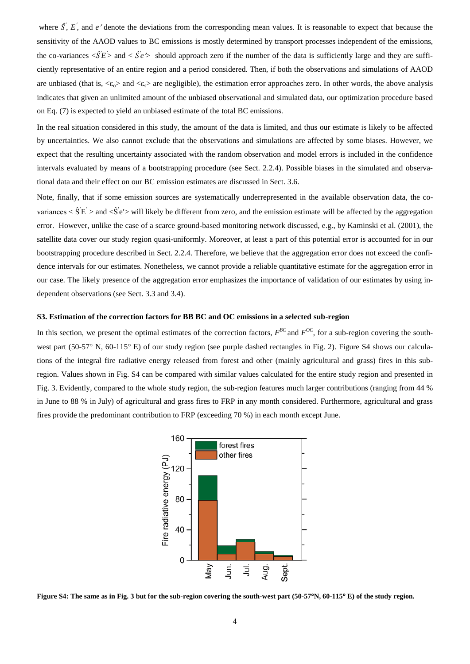where  $\hat{S}$ ,  $E$ , and *e*' denote the deviations from the corresponding mean values. It is reasonable to expect that because the sensitivity of the AAOD values to BC emissions is mostly determined by transport processes independent of the emissions, the co-variances  $\langle \hat{S} E \rangle$  and  $\langle \hat{S}' e \rangle$  should approach zero if the number of the data is sufficiently large and they are sufficiently representative of an entire region and a period considered. Then, if both the observations and simulations of AAOD are unbiased (that is,  $\langle \xi_{\alpha} \rangle$  and  $\langle \xi_{\beta} \rangle$  are negligible), the estimation error approaches zero. In other words, the above analysis indicates that given an unlimited amount of the unbiased observational and simulated data, our optimization procedure based on Eq. (7) is expected to yield an unbiased estimate of the total BC emissions.

In the real situation considered in this study, the amount of the data is limited, and thus our estimate is likely to be affected by uncertainties. We also cannot exclude that the observations and simulations are affected by some biases. However, we expect that the resulting uncertainty associated with the random observation and model errors is included in the confidence intervals evaluated by means of a bootstrapping procedure (see Sect. 2.2.4). Possible biases in the simulated and observational data and their effect on our BC emission estimates are discussed in Sect. 3.6.

Note, finally, that if some emission sources are systematically underrepresented in the available observation data, the covariances  $\leq \hat{S}'E' >$  and  $\leq S'e' >$  will likely be different from zero, and the emission estimate will be affected by the aggregation error. However, unlike the case of a scarce ground-based monitoring network discussed, e.g., by Kaminski et al. (2001), the satellite data cover our study region quasi-uniformly. Moreover, at least a part of this potential error is accounted for in our bootstrapping procedure described in Sect. 2.2.4. Therefore, we believe that the aggregation error does not exceed the confidence intervals for our estimates. Nonetheless, we cannot provide a reliable quantitative estimate for the aggregation error in our case. The likely presence of the aggregation error emphasizes the importance of validation of our estimates by using independent observations (see Sect. 3.3 and 3.4).

### **S3. Estimation of the correction factors for BB BC and OC emissions in a selected sub-region**

In this section, we present the optimal estimates of the correction factors,  $F^{BC}$  and  $F^{OC}$ , for a sub-region covering the southwest part (50-57° N, 60-115° E) of our study region (see purple dashed rectangles in Fig. 2). Figure S4 shows our calculations of the integral fire radiative energy released from forest and other (mainly agricultural and grass) fires in this subregion. Values shown in Fig. S4 can be compared with similar values calculated for the entire study region and presented in Fig. 3. Evidently, compared to the whole study region, the sub-region features much larger contributions (ranging from 44 % in June to 88 % in July) of agricultural and grass fires to FRP in any month considered. Furthermore, agricultural and grass fires provide the predominant contribution to FRP (exceeding 70 %) in each month except June.



**Figure S4: The same as in Fig. 3 but for the sub-region covering the south-west part (50-57**°**N, 60-115**° **E) of the study region.**